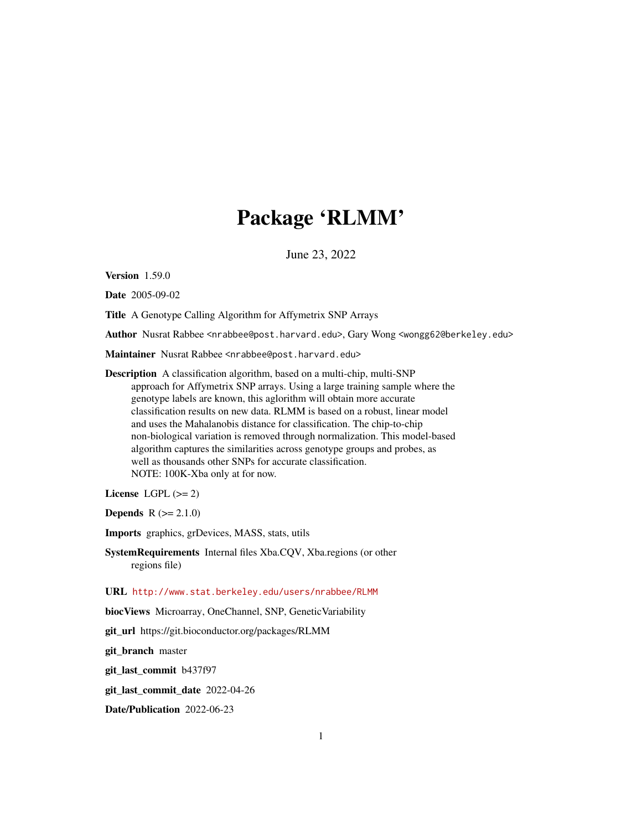## Package 'RLMM'

June 23, 2022

Version 1.59.0

Date 2005-09-02

Title A Genotype Calling Algorithm for Affymetrix SNP Arrays

Author Nusrat Rabbee <nrabbee@post.harvard.edu>, Gary Wong <wongg62@berkeley.edu>

Maintainer Nusrat Rabbee <nrabbee@post.harvard.edu>

Description A classification algorithm, based on a multi-chip, multi-SNP approach for Affymetrix SNP arrays. Using a large training sample where the genotype labels are known, this aglorithm will obtain more accurate classification results on new data. RLMM is based on a robust, linear model and uses the Mahalanobis distance for classification. The chip-to-chip non-biological variation is removed through normalization. This model-based algorithm captures the similarities across genotype groups and probes, as well as thousands other SNPs for accurate classification. NOTE: 100K-Xba only at for now.

License LGPL  $(>= 2)$ 

**Depends**  $R (= 2.1.0)$ 

Imports graphics, grDevices, MASS, stats, utils

SystemRequirements Internal files Xba.CQV, Xba.regions (or other regions file)

URL <http://www.stat.berkeley.edu/users/nrabbee/RLMM>

biocViews Microarray, OneChannel, SNP, GeneticVariability

git\_url https://git.bioconductor.org/packages/RLMM

git\_branch master

git\_last\_commit b437f97

git\_last\_commit\_date 2022-04-26

Date/Publication 2022-06-23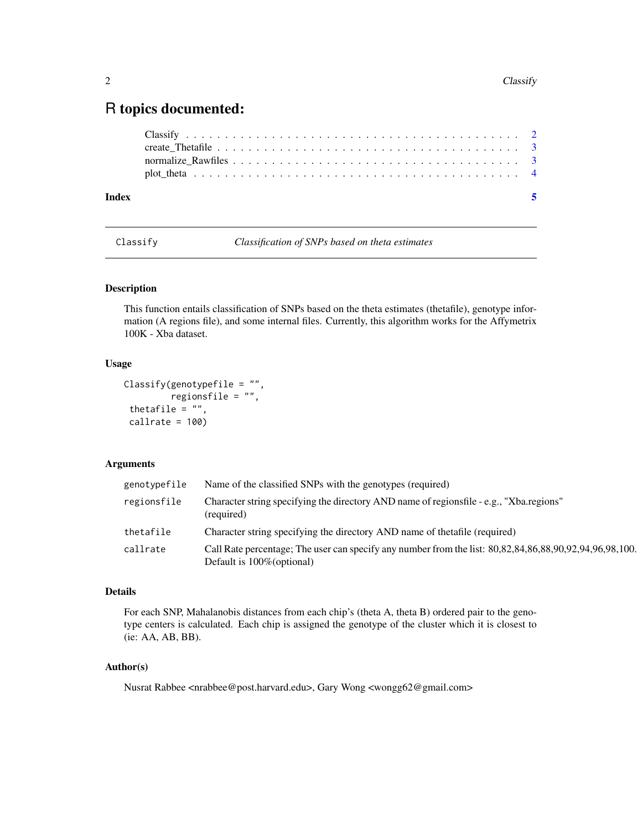### <span id="page-1-0"></span>R topics documented:

| Index |  |
|-------|--|
|       |  |
|       |  |
|       |  |
|       |  |

Classify *Classification of SNPs based on theta estimates*

#### Description

This function entails classification of SNPs based on the theta estimates (thetafile), genotype information (A regions file), and some internal files. Currently, this algorithm works for the Affymetrix 100K - Xba dataset.

#### Usage

```
Classify(genotypefile = "",
        regionsfile = "",
thetafile = ",
calIrate = 100
```
#### Arguments

| genotypefile | Name of the classified SNPs with the genotypes (required)                                                                                |
|--------------|------------------------------------------------------------------------------------------------------------------------------------------|
| regionsfile  | Character string specifying the directory AND name of regionsfile - e.g., "Xba.regions"<br>(required)                                    |
| thetafile    | Character string specifying the directory AND name of the tafile (required)                                                              |
| callrate     | Call Rate percentage: The user can specify any number from the list: 80,82,84,86,88,90,92,94,96,98,100.<br>Default is $100\%$ (optional) |

#### Details

For each SNP, Mahalanobis distances from each chip's (theta A, theta B) ordered pair to the genotype centers is calculated. Each chip is assigned the genotype of the cluster which it is closest to (ie: AA, AB, BB).

#### Author(s)

Nusrat Rabbee <nrabbee@post.harvard.edu>, Gary Wong <wongg62@gmail.com>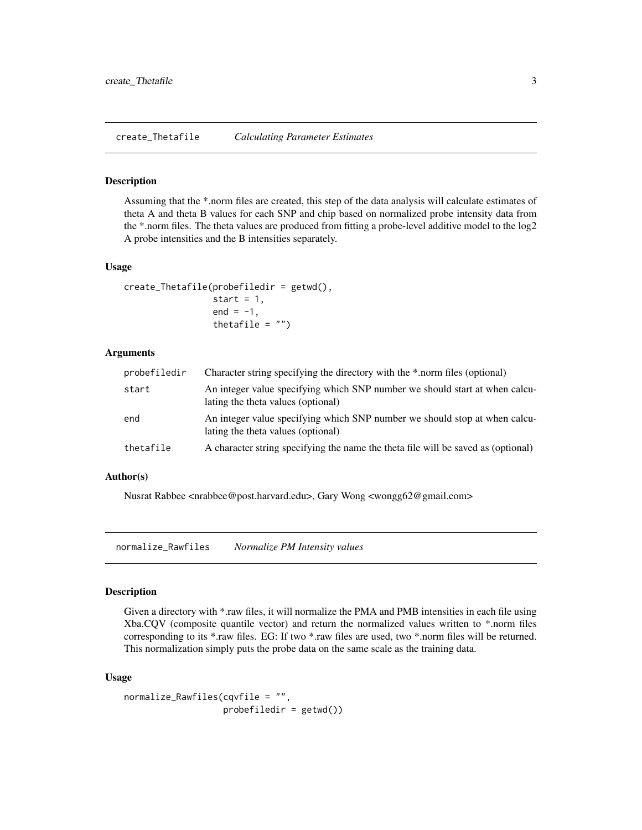<span id="page-2-0"></span>create\_Thetafile *Calculating Parameter Estimates*

#### Description

Assuming that the \*.norm files are created, this step of the data analysis will calculate estimates of theta A and theta B values for each SNP and chip based on normalized probe intensity data from the \*.norm files. The theta values are produced from fitting a probe-level additive model to the log2 A probe intensities and the B intensities separately.

#### Usage

```
create_Thetafile(probefiledir = getwd(),
                 start = 1,
                 end = -1,
                 thetafile = "")
```
#### Arguments

| probefiledir | Character string specifying the directory with the *.norm files (optional)                                        |
|--------------|-------------------------------------------------------------------------------------------------------------------|
| start        | An integer value specifying which SNP number we should start at when calcu-<br>lating the theta values (optional) |
| end          | An integer value specifying which SNP number we should stop at when calcu-<br>lating the theta values (optional)  |
| thetafile    | A character string specifying the name the theta file will be saved as (optional)                                 |

#### Author(s)

Nusrat Rabbee <nrabbee@post.harvard.edu>, Gary Wong <wongg62@gmail.com>

normalize\_Rawfiles *Normalize PM Intensity values*

#### Description

Given a directory with \*.raw files, it will normalize the PMA and PMB intensities in each file using Xba.CQV (composite quantile vector) and return the normalized values written to \*.norm files corresponding to its \*.raw files. EG: If two \*.raw files are used, two \*.norm files will be returned. This normalization simply puts the probe data on the same scale as the training data.

#### Usage

```
normalize_Rawfiles(cqvfile = "",
                  probefiledir = getwd())
```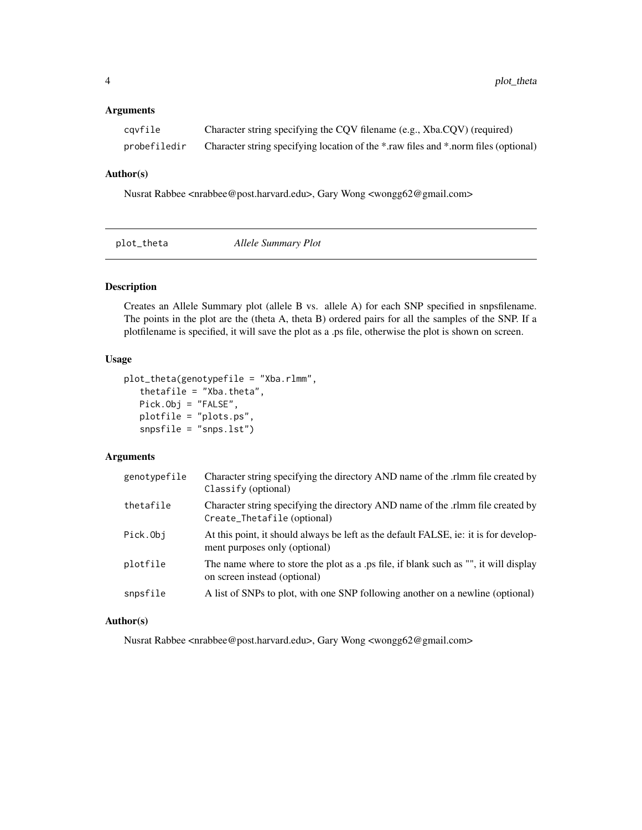#### <span id="page-3-0"></span>Arguments

| cavfile      | Character string specifying the CQV filename (e.g., Xba.CQV) (required)             |
|--------------|-------------------------------------------------------------------------------------|
| probefiledir | Character string specifying location of the *.raw files and *.norm files (optional) |

#### Author(s)

Nusrat Rabbee <nrabbee@post.harvard.edu>, Gary Wong <wongg62@gmail.com>

| plot_theta | Allele Summary Plot |  |
|------------|---------------------|--|
|            |                     |  |

#### Description

Creates an Allele Summary plot (allele B vs. allele A) for each SNP specified in snpsfilename. The points in the plot are the (theta A, theta B) ordered pairs for all the samples of the SNP. If a plotfilename is specified, it will save the plot as a .ps file, otherwise the plot is shown on screen.

#### Usage

```
plot_theta(genotypefile = "Xba.rlmm",
   thetafile = "Xba.theta",
   Pick.Obj = "FALSE",
   plotfile = "plots.ps",
   snpsfile = "snps.lst")
```
#### Arguments

| genotypefile | Character string specifying the directory AND name of the .rlmm file created by<br>Classify (optional)                |
|--------------|-----------------------------------------------------------------------------------------------------------------------|
| thetafile    | Character string specifying the directory AND name of the .rlmm file created by<br>Create_Thetafile (optional)        |
| Pick.Obj     | At this point, it should always be left as the default FALSE, ie: it is for develop-<br>ment purposes only (optional) |
| plotfile     | The name where to store the plot as a .ps file, if blank such as "", it will display<br>on screen instead (optional)  |
| snpsfile     | A list of SNPs to plot, with one SNP following another on a newline (optional)                                        |

#### Author(s)

Nusrat Rabbee <nrabbee@post.harvard.edu>, Gary Wong <wongg62@gmail.com>